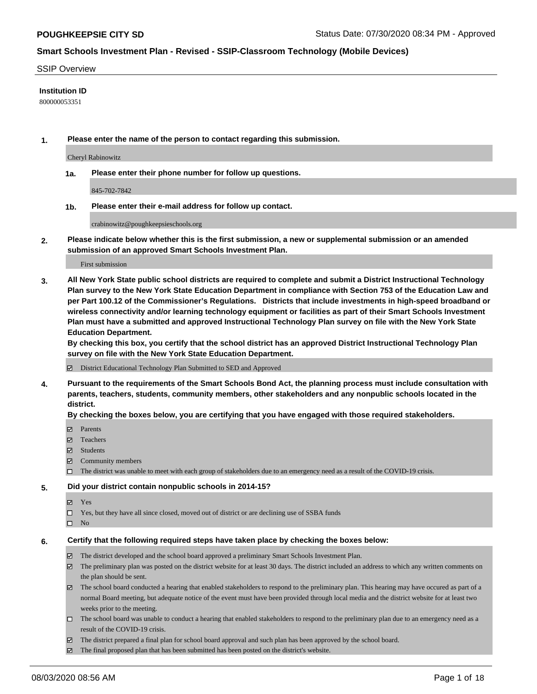#### SSIP Overview

## **Institution ID**

800000053351

**1. Please enter the name of the person to contact regarding this submission.**

Cheryl Rabinowitz

**1a. Please enter their phone number for follow up questions.**

845-702-7842

**1b. Please enter their e-mail address for follow up contact.**

crabinowitz@poughkeepsieschools.org

**2. Please indicate below whether this is the first submission, a new or supplemental submission or an amended submission of an approved Smart Schools Investment Plan.**

#### First submission

**3. All New York State public school districts are required to complete and submit a District Instructional Technology Plan survey to the New York State Education Department in compliance with Section 753 of the Education Law and per Part 100.12 of the Commissioner's Regulations. Districts that include investments in high-speed broadband or wireless connectivity and/or learning technology equipment or facilities as part of their Smart Schools Investment Plan must have a submitted and approved Instructional Technology Plan survey on file with the New York State Education Department.** 

**By checking this box, you certify that the school district has an approved District Instructional Technology Plan survey on file with the New York State Education Department.**

District Educational Technology Plan Submitted to SED and Approved

**4. Pursuant to the requirements of the Smart Schools Bond Act, the planning process must include consultation with parents, teachers, students, community members, other stakeholders and any nonpublic schools located in the district.** 

#### **By checking the boxes below, you are certifying that you have engaged with those required stakeholders.**

- **□** Parents
- Teachers
- Students
- $\boxtimes$  Community members
- The district was unable to meet with each group of stakeholders due to an emergency need as a result of the COVID-19 crisis.

#### **5. Did your district contain nonpublic schools in 2014-15?**

- **冈** Yes
- Yes, but they have all since closed, moved out of district or are declining use of SSBA funds
- $\square$  No

#### **6. Certify that the following required steps have taken place by checking the boxes below:**

- The district developed and the school board approved a preliminary Smart Schools Investment Plan.
- $\boxtimes$  The preliminary plan was posted on the district website for at least 30 days. The district included an address to which any written comments on the plan should be sent.
- The school board conducted a hearing that enabled stakeholders to respond to the preliminary plan. This hearing may have occured as part of a normal Board meeting, but adequate notice of the event must have been provided through local media and the district website for at least two weeks prior to the meeting.
- The school board was unable to conduct a hearing that enabled stakeholders to respond to the preliminary plan due to an emergency need as a result of the COVID-19 crisis.
- The district prepared a final plan for school board approval and such plan has been approved by the school board.
- $\boxtimes$  The final proposed plan that has been submitted has been posted on the district's website.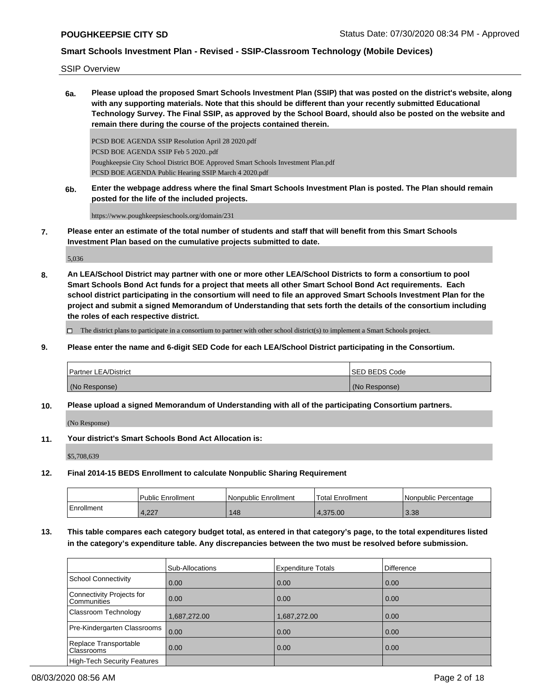SSIP Overview

**6a. Please upload the proposed Smart Schools Investment Plan (SSIP) that was posted on the district's website, along with any supporting materials. Note that this should be different than your recently submitted Educational Technology Survey. The Final SSIP, as approved by the School Board, should also be posted on the website and remain there during the course of the projects contained therein.**

PCSD BOE AGENDA SSIP Resolution April 28 2020.pdf PCSD BOE AGENDA SSIP Feb 5 2020..pdf Poughkeepsie City School District BOE Approved Smart Schools Investment Plan.pdf PCSD BOE AGENDA Public Hearing SSIP March 4 2020.pdf

**6b. Enter the webpage address where the final Smart Schools Investment Plan is posted. The Plan should remain posted for the life of the included projects.**

https://www.poughkeepsieschools.org/domain/231

**7. Please enter an estimate of the total number of students and staff that will benefit from this Smart Schools Investment Plan based on the cumulative projects submitted to date.**

5,036

**8. An LEA/School District may partner with one or more other LEA/School Districts to form a consortium to pool Smart Schools Bond Act funds for a project that meets all other Smart School Bond Act requirements. Each school district participating in the consortium will need to file an approved Smart Schools Investment Plan for the project and submit a signed Memorandum of Understanding that sets forth the details of the consortium including the roles of each respective district.**

 $\Box$  The district plans to participate in a consortium to partner with other school district(s) to implement a Smart Schools project.

**9. Please enter the name and 6-digit SED Code for each LEA/School District participating in the Consortium.**

| <b>Partner LEA/District</b> | <b>ISED BEDS Code</b> |
|-----------------------------|-----------------------|
| (No Response)               | (No Response)         |

**10. Please upload a signed Memorandum of Understanding with all of the participating Consortium partners.**

(No Response)

**11. Your district's Smart Schools Bond Act Allocation is:**

\$5,708,639

**12. Final 2014-15 BEDS Enrollment to calculate Nonpublic Sharing Requirement**

|            | l Public Enrollment | Nonpublic Enrollment | Total Enrollment | l Nonpublic Percentage |
|------------|---------------------|----------------------|------------------|------------------------|
| Enrollment | 1227<br>4.22.       | 148                  | 4.375.00         | 3.38                   |

**13. This table compares each category budget total, as entered in that category's page, to the total expenditures listed in the category's expenditure table. Any discrepancies between the two must be resolved before submission.**

|                                            | Sub-Allocations | <b>Expenditure Totals</b> | <b>Difference</b> |
|--------------------------------------------|-----------------|---------------------------|-------------------|
| School Connectivity                        | 0.00            | 0.00                      | 0.00              |
| Connectivity Projects for<br>l Communities | 0.00            | 0.00                      | 0.00              |
| Classroom Technology                       | 1,687,272.00    | 1,687,272.00              | 0.00              |
| Pre-Kindergarten Classrooms                | 0.00            | 0.00                      | 0.00              |
| Replace Transportable<br><b>Classrooms</b> | 0.00            | 0.00                      | 0.00              |
| High-Tech Security Features                |                 |                           |                   |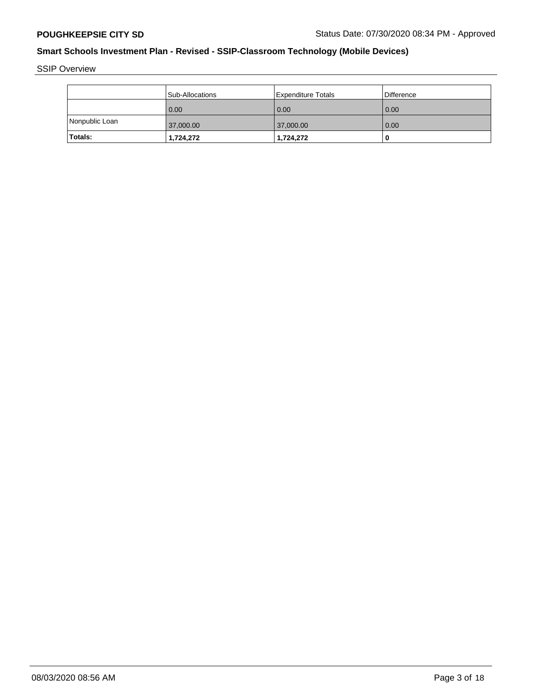SSIP Overview

|                | l Sub-Allocations | <b>Expenditure Totals</b> | Difference |
|----------------|-------------------|---------------------------|------------|
|                | 0.00              | 0.00                      | 0.00       |
| Nonpublic Loan | 37,000.00         | 37,000.00                 | 0.00       |
| <b>Totals:</b> | 1,724,272         | 1,724,272                 | O          |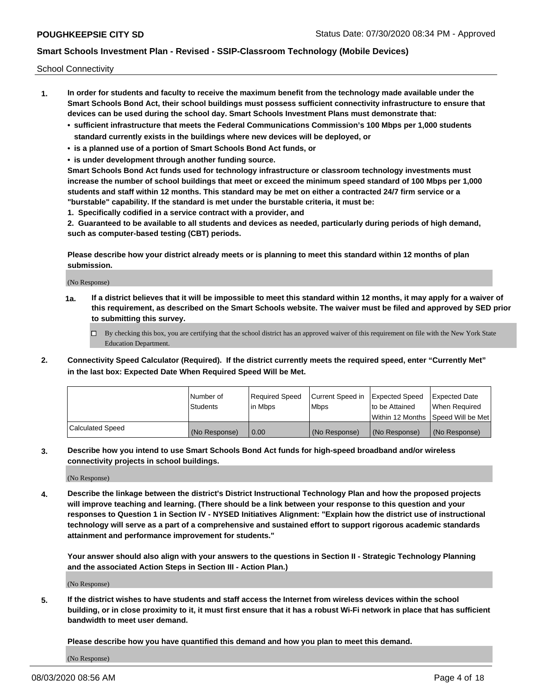School Connectivity

- **1. In order for students and faculty to receive the maximum benefit from the technology made available under the Smart Schools Bond Act, their school buildings must possess sufficient connectivity infrastructure to ensure that devices can be used during the school day. Smart Schools Investment Plans must demonstrate that:**
	- **• sufficient infrastructure that meets the Federal Communications Commission's 100 Mbps per 1,000 students standard currently exists in the buildings where new devices will be deployed, or**
	- **• is a planned use of a portion of Smart Schools Bond Act funds, or**
	- **• is under development through another funding source.**

**Smart Schools Bond Act funds used for technology infrastructure or classroom technology investments must increase the number of school buildings that meet or exceed the minimum speed standard of 100 Mbps per 1,000 students and staff within 12 months. This standard may be met on either a contracted 24/7 firm service or a "burstable" capability. If the standard is met under the burstable criteria, it must be:**

**1. Specifically codified in a service contract with a provider, and**

**2. Guaranteed to be available to all students and devices as needed, particularly during periods of high demand, such as computer-based testing (CBT) periods.**

**Please describe how your district already meets or is planning to meet this standard within 12 months of plan submission.**

(No Response)

**1a. If a district believes that it will be impossible to meet this standard within 12 months, it may apply for a waiver of this requirement, as described on the Smart Schools website. The waiver must be filed and approved by SED prior to submitting this survey.**

 $\Box$  By checking this box, you are certifying that the school district has an approved waiver of this requirement on file with the New York State Education Department.

**2. Connectivity Speed Calculator (Required). If the district currently meets the required speed, enter "Currently Met" in the last box: Expected Date When Required Speed Will be Met.**

|                  | l Number of     | Required Speed | Current Speed in | Expected Speed | Expected Date                        |
|------------------|-----------------|----------------|------------------|----------------|--------------------------------------|
|                  | <b>Students</b> | In Mbps        | <b>Mbps</b>      | to be Attained | When Required                        |
|                  |                 |                |                  |                | Within 12 Months 1Speed Will be Met1 |
| Calculated Speed | (No Response)   | 0.00           | (No Response)    | (No Response)  | l (No Response)                      |

**3. Describe how you intend to use Smart Schools Bond Act funds for high-speed broadband and/or wireless connectivity projects in school buildings.**

(No Response)

**4. Describe the linkage between the district's District Instructional Technology Plan and how the proposed projects will improve teaching and learning. (There should be a link between your response to this question and your responses to Question 1 in Section IV - NYSED Initiatives Alignment: "Explain how the district use of instructional technology will serve as a part of a comprehensive and sustained effort to support rigorous academic standards attainment and performance improvement for students."** 

**Your answer should also align with your answers to the questions in Section II - Strategic Technology Planning and the associated Action Steps in Section III - Action Plan.)**

(No Response)

**5. If the district wishes to have students and staff access the Internet from wireless devices within the school building, or in close proximity to it, it must first ensure that it has a robust Wi-Fi network in place that has sufficient bandwidth to meet user demand.**

**Please describe how you have quantified this demand and how you plan to meet this demand.**

(No Response)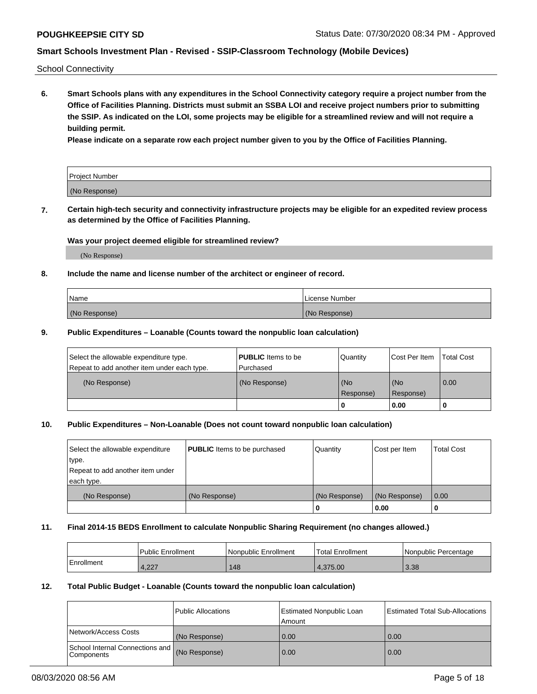School Connectivity

**6. Smart Schools plans with any expenditures in the School Connectivity category require a project number from the Office of Facilities Planning. Districts must submit an SSBA LOI and receive project numbers prior to submitting the SSIP. As indicated on the LOI, some projects may be eligible for a streamlined review and will not require a building permit.**

**Please indicate on a separate row each project number given to you by the Office of Facilities Planning.**

| Project Number |  |
|----------------|--|
| (No Response)  |  |

**7. Certain high-tech security and connectivity infrastructure projects may be eligible for an expedited review process as determined by the Office of Facilities Planning.**

## **Was your project deemed eligible for streamlined review?**

(No Response)

## **8. Include the name and license number of the architect or engineer of record.**

| Name          | License Number |
|---------------|----------------|
| (No Response) | (No Response)  |

## **9. Public Expenditures – Loanable (Counts toward the nonpublic loan calculation)**

| Select the allowable expenditure type.<br>Repeat to add another item under each type. | <b>PUBLIC</b> Items to be<br>l Purchased | Quantity           | Cost Per Item    | <b>Total Cost</b> |
|---------------------------------------------------------------------------------------|------------------------------------------|--------------------|------------------|-------------------|
| (No Response)                                                                         | (No Response)                            | l (No<br>Response) | (No<br>Response) | $\overline{0.00}$ |
|                                                                                       |                                          | 0                  | 0.00             |                   |

## **10. Public Expenditures – Non-Loanable (Does not count toward nonpublic loan calculation)**

| Select the allowable expenditure | <b>PUBLIC</b> Items to be purchased | Quantity      | Cost per Item | <b>Total Cost</b> |
|----------------------------------|-------------------------------------|---------------|---------------|-------------------|
| type.                            |                                     |               |               |                   |
| Repeat to add another item under |                                     |               |               |                   |
| each type.                       |                                     |               |               |                   |
| (No Response)                    | (No Response)                       | (No Response) | (No Response) | 0.00              |
|                                  |                                     |               | 0.00          |                   |

#### **11. Final 2014-15 BEDS Enrollment to calculate Nonpublic Sharing Requirement (no changes allowed.)**

|            | Public Enrollment | l Nonpublic Enrollment | <b>Total Enrollment</b> | Nonpublic Percentage |
|------------|-------------------|------------------------|-------------------------|----------------------|
| Enrollment | ່າາ<br>4,ZZ 1     | 148                    | 1.375.00                | 3.38                 |

## **12. Total Public Budget - Loanable (Counts toward the nonpublic loan calculation)**

|                                                      | Public Allocations | <b>Estimated Nonpublic Loan</b><br>Amount | Estimated Total Sub-Allocations |
|------------------------------------------------------|--------------------|-------------------------------------------|---------------------------------|
| Network/Access Costs                                 | (No Response)      | 0.00                                      | 0.00                            |
| School Internal Connections and<br><b>Components</b> | (No Response)      | 0.00                                      | 0.00                            |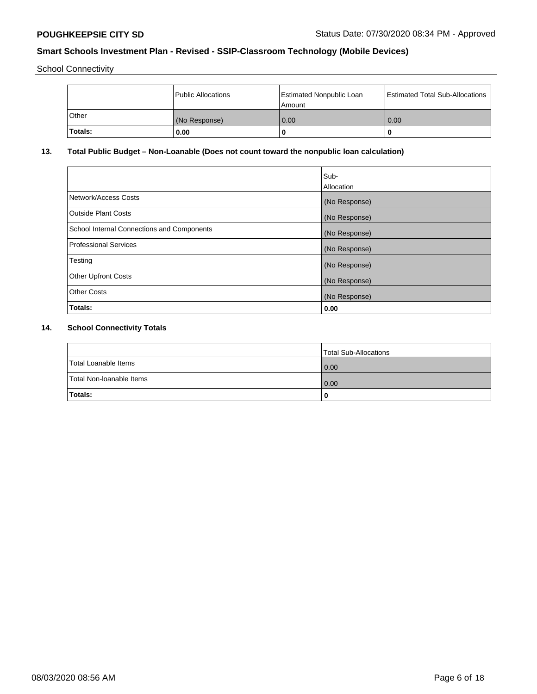School Connectivity

|              | <b>Public Allocations</b> | <b>Estimated Nonpublic Loan</b><br>l Amount | <b>Estimated Total Sub-Allocations</b> |
|--------------|---------------------------|---------------------------------------------|----------------------------------------|
| <b>Other</b> | (No Response)             | 0.00                                        | 0.00                                   |
| Totals:      | 0.00                      | 0                                           | ш                                      |

# **13. Total Public Budget – Non-Loanable (Does not count toward the nonpublic loan calculation)**

|                                                   | Sub-<br>Allocation |
|---------------------------------------------------|--------------------|
|                                                   |                    |
| Network/Access Costs                              | (No Response)      |
| <b>Outside Plant Costs</b>                        | (No Response)      |
| <b>School Internal Connections and Components</b> | (No Response)      |
| Professional Services                             | (No Response)      |
| Testing                                           | (No Response)      |
| <b>Other Upfront Costs</b>                        | (No Response)      |
| <b>Other Costs</b>                                | (No Response)      |
| <b>Totals:</b>                                    | 0.00               |

# **14. School Connectivity Totals**

|                          | Total Sub-Allocations |
|--------------------------|-----------------------|
| Total Loanable Items     | $\overline{0.00}$     |
| Total Non-Ioanable Items | $\overline{0.00}$     |
| Totals:                  |                       |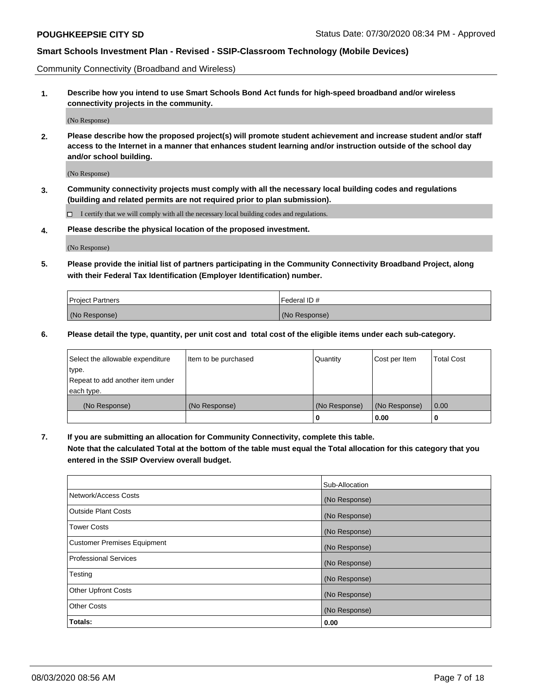Community Connectivity (Broadband and Wireless)

**1. Describe how you intend to use Smart Schools Bond Act funds for high-speed broadband and/or wireless connectivity projects in the community.**

(No Response)

**2. Please describe how the proposed project(s) will promote student achievement and increase student and/or staff access to the Internet in a manner that enhances student learning and/or instruction outside of the school day and/or school building.**

(No Response)

**3. Community connectivity projects must comply with all the necessary local building codes and regulations (building and related permits are not required prior to plan submission).**

 $\Box$  I certify that we will comply with all the necessary local building codes and regulations.

**4. Please describe the physical location of the proposed investment.**

(No Response)

**5. Please provide the initial list of partners participating in the Community Connectivity Broadband Project, along with their Federal Tax Identification (Employer Identification) number.**

| <b>Project Partners</b> | l Federal ID # |
|-------------------------|----------------|
| (No Response)           | (No Response)  |

**6. Please detail the type, quantity, per unit cost and total cost of the eligible items under each sub-category.**

| Select the allowable expenditure | Item to be purchased | Quantity      | Cost per Item | <b>Total Cost</b> |
|----------------------------------|----------------------|---------------|---------------|-------------------|
| type.                            |                      |               |               |                   |
| Repeat to add another item under |                      |               |               |                   |
| each type.                       |                      |               |               |                   |
| (No Response)                    | (No Response)        | (No Response) | (No Response) | 0.00              |
|                                  |                      | o             | 0.00          |                   |

**7. If you are submitting an allocation for Community Connectivity, complete this table.**

**Note that the calculated Total at the bottom of the table must equal the Total allocation for this category that you entered in the SSIP Overview overall budget.**

|                                    | Sub-Allocation |
|------------------------------------|----------------|
| Network/Access Costs               | (No Response)  |
| Outside Plant Costs                | (No Response)  |
| <b>Tower Costs</b>                 | (No Response)  |
| <b>Customer Premises Equipment</b> | (No Response)  |
| <b>Professional Services</b>       | (No Response)  |
| Testing                            | (No Response)  |
| <b>Other Upfront Costs</b>         | (No Response)  |
| <b>Other Costs</b>                 | (No Response)  |
| Totals:                            | 0.00           |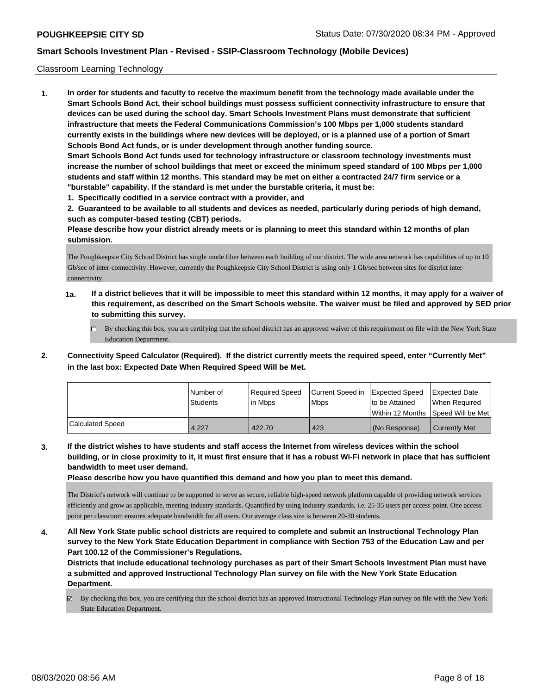#### Classroom Learning Technology

**1. In order for students and faculty to receive the maximum benefit from the technology made available under the Smart Schools Bond Act, their school buildings must possess sufficient connectivity infrastructure to ensure that devices can be used during the school day. Smart Schools Investment Plans must demonstrate that sufficient infrastructure that meets the Federal Communications Commission's 100 Mbps per 1,000 students standard currently exists in the buildings where new devices will be deployed, or is a planned use of a portion of Smart Schools Bond Act funds, or is under development through another funding source. Smart Schools Bond Act funds used for technology infrastructure or classroom technology investments must increase the number of school buildings that meet or exceed the minimum speed standard of 100 Mbps per 1,000 students and staff within 12 months. This standard may be met on either a contracted 24/7 firm service or a "burstable" capability. If the standard is met under the burstable criteria, it must be:**

**1. Specifically codified in a service contract with a provider, and**

**2. Guaranteed to be available to all students and devices as needed, particularly during periods of high demand, such as computer-based testing (CBT) periods.**

**Please describe how your district already meets or is planning to meet this standard within 12 months of plan submission.**

The Poughkeepsie City School District has single mode fiber between each building of our district. The wide area network has capabilities of up to 10 Gb/sec of inter-connectivity. However, currently the Poughkeepsie City School District is using only 1 Gb/sec between sites for district interconnectivity.

- **1a. If a district believes that it will be impossible to meet this standard within 12 months, it may apply for a waiver of this requirement, as described on the Smart Schools website. The waiver must be filed and approved by SED prior to submitting this survey.**
	- By checking this box, you are certifying that the school district has an approved waiver of this requirement on file with the New York State Education Department.
- **2. Connectivity Speed Calculator (Required). If the district currently meets the required speed, enter "Currently Met" in the last box: Expected Date When Required Speed Will be Met.**

|                  | l Number of     | Required Speed | Current Speed in | Expected Speed     | <b>Expected Date</b> |
|------------------|-----------------|----------------|------------------|--------------------|----------------------|
|                  | <b>Students</b> | lin Mbps       | <b>Mbps</b>      | to be Attained     | When Reauired        |
|                  |                 |                |                  | l Within 12 Months | Speed Will be Met    |
| Calculated Speed | 4,227           | 422.70         | 423              | (No Response)      | <b>Currently Met</b> |

**3. If the district wishes to have students and staff access the Internet from wireless devices within the school building, or in close proximity to it, it must first ensure that it has a robust Wi-Fi network in place that has sufficient bandwidth to meet user demand.**

**Please describe how you have quantified this demand and how you plan to meet this demand.**

The District's network will continue to be supported to serve as secure, reliable high-speed network platform capable of providing network services efficiently and grow as applicable, meeting industry standards. Quantified by using industry standards, i.e. 25-35 users per access point. One access point per classroom ensures adequate bandwidth for all users. Our average class size is between 20-30 students.

**4. All New York State public school districts are required to complete and submit an Instructional Technology Plan survey to the New York State Education Department in compliance with Section 753 of the Education Law and per Part 100.12 of the Commissioner's Regulations.**

**Districts that include educational technology purchases as part of their Smart Schools Investment Plan must have a submitted and approved Instructional Technology Plan survey on file with the New York State Education Department.**

By checking this box, you are certifying that the school district has an approved Instructional Technology Plan survey on file with the New York State Education Department.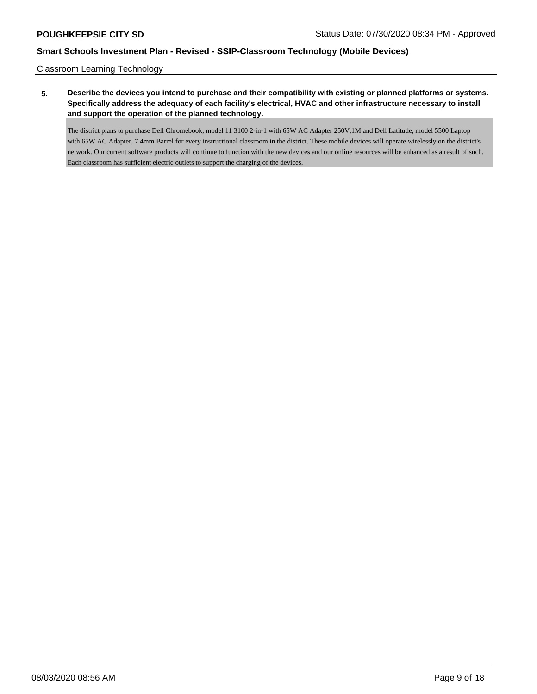Classroom Learning Technology

**5. Describe the devices you intend to purchase and their compatibility with existing or planned platforms or systems. Specifically address the adequacy of each facility's electrical, HVAC and other infrastructure necessary to install and support the operation of the planned technology.**

The district plans to purchase Dell Chromebook, model 11 3100 2-in-1 with 65W AC Adapter 250V,1M and Dell Latitude, model 5500 Laptop with 65W AC Adapter, 7.4mm Barrel for every instructional classroom in the district. These mobile devices will operate wirelessly on the district's network. Our current software products will continue to function with the new devices and our online resources will be enhanced as a result of such. Each classroom has sufficient electric outlets to support the charging of the devices.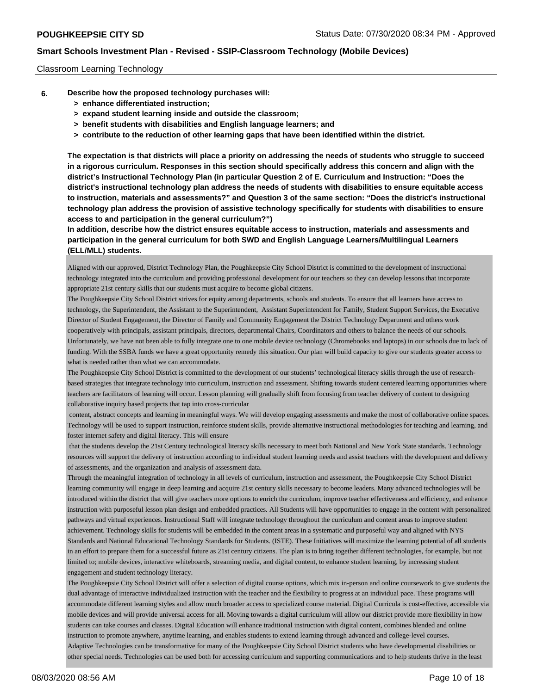#### Classroom Learning Technology

- **6. Describe how the proposed technology purchases will:**
	- **> enhance differentiated instruction;**
	- **> expand student learning inside and outside the classroom;**
	- **> benefit students with disabilities and English language learners; and**
	- **> contribute to the reduction of other learning gaps that have been identified within the district.**

**The expectation is that districts will place a priority on addressing the needs of students who struggle to succeed in a rigorous curriculum. Responses in this section should specifically address this concern and align with the district's Instructional Technology Plan (in particular Question 2 of E. Curriculum and Instruction: "Does the district's instructional technology plan address the needs of students with disabilities to ensure equitable access to instruction, materials and assessments?" and Question 3 of the same section: "Does the district's instructional technology plan address the provision of assistive technology specifically for students with disabilities to ensure access to and participation in the general curriculum?")**

**In addition, describe how the district ensures equitable access to instruction, materials and assessments and participation in the general curriculum for both SWD and English Language Learners/Multilingual Learners (ELL/MLL) students.**

Aligned with our approved, District Technology Plan, the Poughkeepsie City School District is committed to the development of instructional technology integrated into the curriculum and providing professional development for our teachers so they can develop lessons that incorporate appropriate 21st century skills that our students must acquire to become global citizens.

The Poughkeepsie City School District strives for equity among departments, schools and students. To ensure that all learners have access to technology, the Superintendent, the Assistant to the Superintendent, Assistant Superintendent for Family, Student Support Services, the Executive Director of Student Engagement, the Director of Family and Community Engagement the District Technology Department and others work cooperatively with principals, assistant principals, directors, departmental Chairs, Coordinators and others to balance the needs of our schools. Unfortunately, we have not been able to fully integrate one to one mobile device technology (Chromebooks and laptops) in our schools due to lack of funding. With the SSBA funds we have a great opportunity remedy this situation. Our plan will build capacity to give our students greater access to what is needed rather than what we can accommodate.

The Poughkeepsie City School District is committed to the development of our students' technological literacy skills through the use of researchbased strategies that integrate technology into curriculum, instruction and assessment. Shifting towards student centered learning opportunities where teachers are facilitators of learning will occur. Lesson planning will gradually shift from focusing from teacher delivery of content to designing collaborative inquiry based projects that tap into cross-curricular

 content, abstract concepts and learning in meaningful ways. We will develop engaging assessments and make the most of collaborative online spaces. Technology will be used to support instruction, reinforce student skills, provide alternative instructional methodologies for teaching and learning, and foster internet safety and digital literacy. This will ensure

 that the students develop the 21st Century technological literacy skills necessary to meet both National and New York State standards. Technology resources will support the delivery of instruction according to individual student learning needs and assist teachers with the development and delivery of assessments, and the organization and analysis of assessment data.

Through the meaningful integration of technology in all levels of curriculum, instruction and assessment, the Poughkeepsie City School District learning community will engage in deep learning and acquire 21st century skills necessary to become leaders. Many advanced technologies will be introduced within the district that will give teachers more options to enrich the curriculum, improve teacher effectiveness and efficiency, and enhance instruction with purposeful lesson plan design and embedded practices. All Students will have opportunities to engage in the content with personalized pathways and virtual experiences. Instructional Staff will integrate technology throughout the curriculum and content areas to improve student achievement. Technology skills for students will be embedded in the content areas in a systematic and purposeful way and aligned with NYS Standards and National Educational Technology Standards for Students. (ISTE). These Initiatives will maximize the learning potential of all students in an effort to prepare them for a successful future as 21st century citizens. The plan is to bring together different technologies, for example, but not limited to; mobile devices, interactive whiteboards, streaming media, and digital content, to enhance student learning, by increasing student engagement and student technology literacy.

The Poughkeepsie City School District will offer a selection of digital course options, which mix in-person and online coursework to give students the dual advantage of interactive individualized instruction with the teacher and the flexibility to progress at an individual pace. These programs will accommodate different learning styles and allow much broader access to specialized course material. Digital Curricula is cost-effective, accessible via mobile devices and will provide universal access for all. Moving towards a digital curriculum will allow our district provide more flexibility in how students can take courses and classes. Digital Education will enhance traditional instruction with digital content, combines blended and online instruction to promote anywhere, anytime learning, and enables students to extend learning through advanced and college-level courses. Adaptive Technologies can be transformative for many of the Poughkeepsie City School District students who have developmental disabilities or other special needs. Technologies can be used both for accessing curriculum and supporting communications and to help students thrive in the least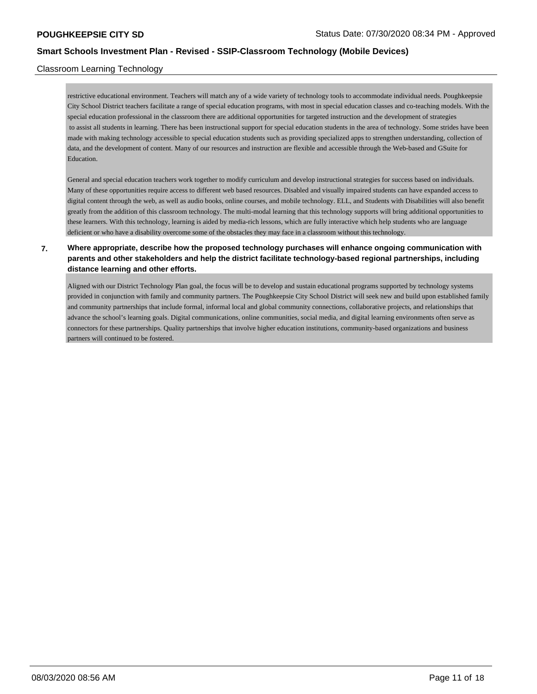## Classroom Learning Technology

restrictive educational environment. Teachers will match any of a wide variety of technology tools to accommodate individual needs. Poughkeepsie City School District teachers facilitate a range of special education programs, with most in special education classes and co-teaching models. With the special education professional in the classroom there are additional opportunities for targeted instruction and the development of strategies to assist all students in learning. There has been instructional support for special education students in the area of technology. Some strides have been made with making technology accessible to special education students such as providing specialized apps to strengthen understanding, collection of data, and the development of content. Many of our resources and instruction are flexible and accessible through the Web-based and GSuite for Education.

General and special education teachers work together to modify curriculum and develop instructional strategies for success based on individuals. Many of these opportunities require access to different web based resources. Disabled and visually impaired students can have expanded access to digital content through the web, as well as audio books, online courses, and mobile technology. ELL, and Students with Disabilities will also benefit greatly from the addition of this classroom technology. The multi-modal learning that this technology supports will bring additional opportunities to these learners. With this technology, learning is aided by media-rich lessons, which are fully interactive which help students who are language deficient or who have a disability overcome some of the obstacles they may face in a classroom without this technology.

# **7. Where appropriate, describe how the proposed technology purchases will enhance ongoing communication with parents and other stakeholders and help the district facilitate technology-based regional partnerships, including distance learning and other efforts.**

Aligned with our District Technology Plan goal, the focus will be to develop and sustain educational programs supported by technology systems provided in conjunction with family and community partners. The Poughkeepsie City School District will seek new and build upon established family and community partnerships that include formal, informal local and global community connections, collaborative projects, and relationships that advance the school's learning goals. Digital communications, online communities, social media, and digital learning environments often serve as connectors for these partnerships. Quality partnerships that involve higher education institutions, community-based organizations and business partners will continued to be fostered.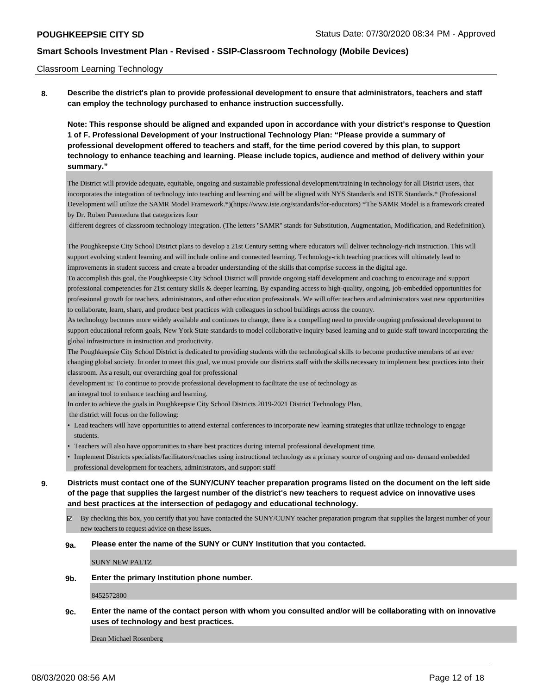#### Classroom Learning Technology

**8. Describe the district's plan to provide professional development to ensure that administrators, teachers and staff can employ the technology purchased to enhance instruction successfully.**

**Note: This response should be aligned and expanded upon in accordance with your district's response to Question 1 of F. Professional Development of your Instructional Technology Plan: "Please provide a summary of professional development offered to teachers and staff, for the time period covered by this plan, to support technology to enhance teaching and learning. Please include topics, audience and method of delivery within your summary."**

The District will provide adequate, equitable, ongoing and sustainable professional development/training in technology for all District users, that incorporates the integration of technology into teaching and learning and will be aligned with NYS Standards and ISTE Standards.\* (Professional Development will utilize the SAMR Model Framework.\*)(https://www.iste.org/standards/for-educators) \*The SAMR Model is a framework created by Dr. Ruben Puentedura that categorizes four

different degrees of classroom technology integration. (The letters "SAMR" stands for Substitution, Augmentation, Modification, and Redefinition).

The Poughkeepsie City School District plans to develop a 21st Century setting where educators will deliver technology-rich instruction. This will support evolving student learning and will include online and connected learning. Technology-rich teaching practices will ultimately lead to improvements in student success and create a broader understanding of the skills that comprise success in the digital age.

To accomplish this goal, the Poughkeepsie City School District will provide ongoing staff development and coaching to encourage and support professional competencies for 21st century skills & deeper learning. By expanding access to high-quality, ongoing, job-embedded opportunities for professional growth for teachers, administrators, and other education professionals. We will offer teachers and administrators vast new opportunities to collaborate, learn, share, and produce best practices with colleagues in school buildings across the country.

As technology becomes more widely available and continues to change, there is a compelling need to provide ongoing professional development to support educational reform goals, New York State standards to model collaborative inquiry based learning and to guide staff toward incorporating the global infrastructure in instruction and productivity.

The Poughkeepsie City School District is dedicated to providing students with the technological skills to become productive members of an ever changing global society. In order to meet this goal, we must provide our districts staff with the skills necessary to implement best practices into their classroom. As a result, our overarching goal for professional

development is: To continue to provide professional development to facilitate the use of technology as

an integral tool to enhance teaching and learning.

In order to achieve the goals in Poughkeepsie City School District s 2019-2021 District Technology Plan,

the district will focus on the following:

- Lead teachers will have opportunities to attend external conferences to incorporate new learning strategies that utilize technology to engage students.
- Teachers will also have opportunities to share best practices during internal professional development time.
- Implement Districts specialists/facilitators/coaches using instructional technology as a primary source of ongoing and on- demand embedded professional development for teachers, administrators, and support staff
- **9. Districts must contact one of the SUNY/CUNY teacher preparation programs listed on the document on the left side of the page that supplies the largest number of the district's new teachers to request advice on innovative uses and best practices at the intersection of pedagogy and educational technology.**
	- $\boxtimes$  By checking this box, you certify that you have contacted the SUNY/CUNY teacher preparation program that supplies the largest number of your new teachers to request advice on these issues.

#### **9a. Please enter the name of the SUNY or CUNY Institution that you contacted.**

SUNY NEW PALTZ

**9b. Enter the primary Institution phone number.**

8452572800

**9c. Enter the name of the contact person with whom you consulted and/or will be collaborating with on innovative uses of technology and best practices.**

Dean Michael Rosenberg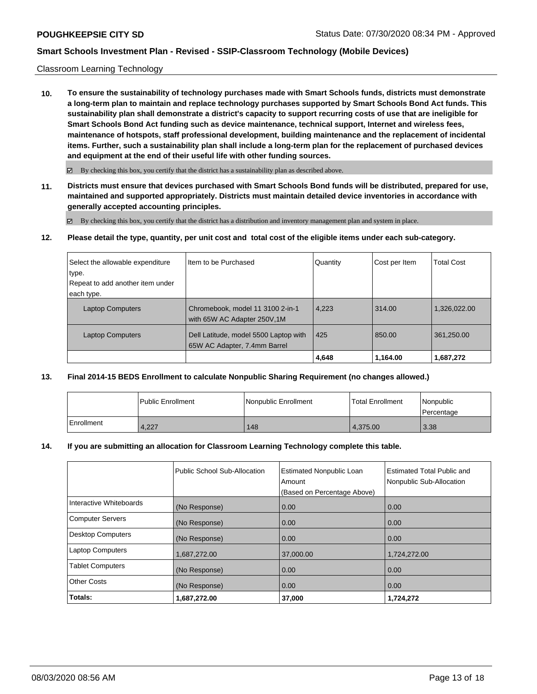## Classroom Learning Technology

**10. To ensure the sustainability of technology purchases made with Smart Schools funds, districts must demonstrate a long-term plan to maintain and replace technology purchases supported by Smart Schools Bond Act funds. This sustainability plan shall demonstrate a district's capacity to support recurring costs of use that are ineligible for Smart Schools Bond Act funding such as device maintenance, technical support, Internet and wireless fees, maintenance of hotspots, staff professional development, building maintenance and the replacement of incidental items. Further, such a sustainability plan shall include a long-term plan for the replacement of purchased devices and equipment at the end of their useful life with other funding sources.**

 $\boxtimes$  By checking this box, you certify that the district has a sustainability plan as described above.

**11. Districts must ensure that devices purchased with Smart Schools Bond funds will be distributed, prepared for use, maintained and supported appropriately. Districts must maintain detailed device inventories in accordance with generally accepted accounting principles.**

By checking this box, you certify that the district has a distribution and inventory management plan and system in place.

**12. Please detail the type, quantity, per unit cost and total cost of the eligible items under each sub-category.**

| Select the allowable expenditure | Iltem to be Purchased                                                 | Quantity | Cost per Item | <b>Total Cost</b> |
|----------------------------------|-----------------------------------------------------------------------|----------|---------------|-------------------|
| type.                            |                                                                       |          |               |                   |
| Repeat to add another item under |                                                                       |          |               |                   |
| each type.                       |                                                                       |          |               |                   |
| <b>Laptop Computers</b>          | Chromebook, model 11 3100 2-in-1                                      | 4,223    | 314.00        | 1,326,022.00      |
|                                  | with 65W AC Adapter 250V, 1M                                          |          |               |                   |
| <b>Laptop Computers</b>          | Dell Latitude, model 5500 Laptop with<br>65W AC Adapter, 7.4mm Barrel | 425      | 850.00        | 361,250.00        |
|                                  |                                                                       | 4,648    | 1,164.00      | 1,687,272         |

## **13. Final 2014-15 BEDS Enrollment to calculate Nonpublic Sharing Requirement (no changes allowed.)**

|              | Public Enrollment | Nonpublic Enrollment | <b>Total Enrollment</b> | l Nonpublic<br>l Percentage |
|--------------|-------------------|----------------------|-------------------------|-----------------------------|
| l Enrollment | 4,227             | 148                  | 4.375.00                | 3.38                        |

## **14. If you are submitting an allocation for Classroom Learning Technology complete this table.**

|                          | Public School Sub-Allocation | <b>Estimated Nonpublic Loan</b><br>Amount<br>(Based on Percentage Above) | Estimated Total Public and<br>Nonpublic Sub-Allocation |
|--------------------------|------------------------------|--------------------------------------------------------------------------|--------------------------------------------------------|
| Interactive Whiteboards  | (No Response)                | 0.00                                                                     | 0.00                                                   |
| <b>Computer Servers</b>  | (No Response)                | 0.00                                                                     | 0.00                                                   |
| <b>Desktop Computers</b> | (No Response)                | 0.00                                                                     | 0.00                                                   |
| <b>Laptop Computers</b>  | 1,687,272.00                 | 37,000.00                                                                | 1,724,272.00                                           |
| <b>Tablet Computers</b>  | (No Response)                | 0.00                                                                     | 0.00                                                   |
| <b>Other Costs</b>       | (No Response)                | 0.00                                                                     | 0.00                                                   |
| Totals:                  | 1,687,272.00                 | 37,000                                                                   | 1,724,272                                              |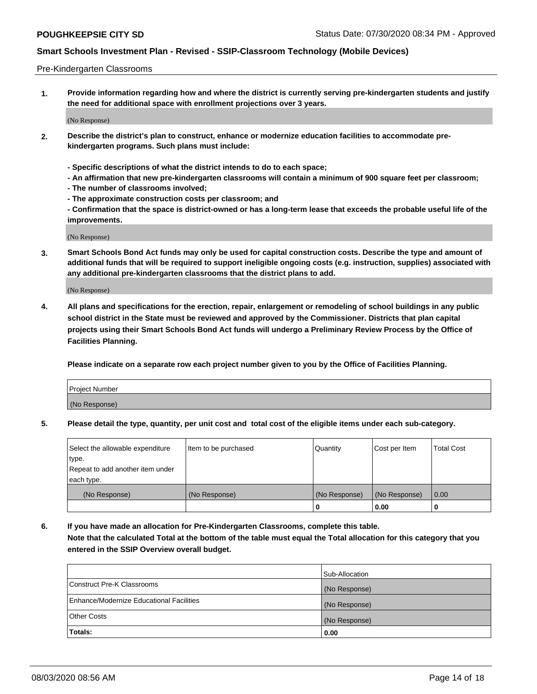#### Pre-Kindergarten Classrooms

**1. Provide information regarding how and where the district is currently serving pre-kindergarten students and justify the need for additional space with enrollment projections over 3 years.**

(No Response)

- **2. Describe the district's plan to construct, enhance or modernize education facilities to accommodate prekindergarten programs. Such plans must include:**
	- **Specific descriptions of what the district intends to do to each space;**
	- **An affirmation that new pre-kindergarten classrooms will contain a minimum of 900 square feet per classroom;**
	- **The number of classrooms involved;**
	- **The approximate construction costs per classroom; and**
	- **Confirmation that the space is district-owned or has a long-term lease that exceeds the probable useful life of the improvements.**

(No Response)

**3. Smart Schools Bond Act funds may only be used for capital construction costs. Describe the type and amount of additional funds that will be required to support ineligible ongoing costs (e.g. instruction, supplies) associated with any additional pre-kindergarten classrooms that the district plans to add.**

(No Response)

**4. All plans and specifications for the erection, repair, enlargement or remodeling of school buildings in any public school district in the State must be reviewed and approved by the Commissioner. Districts that plan capital projects using their Smart Schools Bond Act funds will undergo a Preliminary Review Process by the Office of Facilities Planning.**

**Please indicate on a separate row each project number given to you by the Office of Facilities Planning.**

| Project Number |  |
|----------------|--|
| (No Response)  |  |
|                |  |

**5. Please detail the type, quantity, per unit cost and total cost of the eligible items under each sub-category.**

| Select the allowable expenditure | Item to be purchased | Quantity      | Cost per Item | <b>Total Cost</b> |
|----------------------------------|----------------------|---------------|---------------|-------------------|
| type.                            |                      |               |               |                   |
| Repeat to add another item under |                      |               |               |                   |
| each type.                       |                      |               |               |                   |
| (No Response)                    | (No Response)        | (No Response) | (No Response) | 0.00              |
|                                  |                      | U             | 0.00          |                   |

**6. If you have made an allocation for Pre-Kindergarten Classrooms, complete this table. Note that the calculated Total at the bottom of the table must equal the Total allocation for this category that you entered in the SSIP Overview overall budget.**

|                                          | Sub-Allocation |
|------------------------------------------|----------------|
| Construct Pre-K Classrooms               | (No Response)  |
| Enhance/Modernize Educational Facilities | (No Response)  |
| <b>Other Costs</b>                       | (No Response)  |
| Totals:                                  | 0.00           |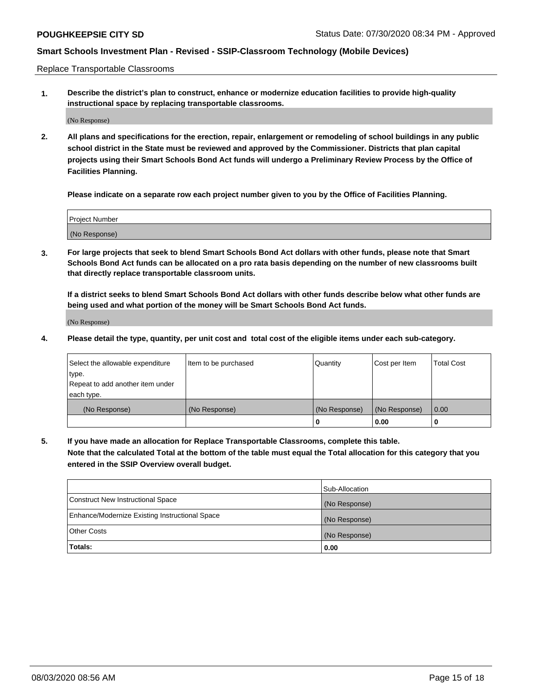Replace Transportable Classrooms

**1. Describe the district's plan to construct, enhance or modernize education facilities to provide high-quality instructional space by replacing transportable classrooms.**

(No Response)

**2. All plans and specifications for the erection, repair, enlargement or remodeling of school buildings in any public school district in the State must be reviewed and approved by the Commissioner. Districts that plan capital projects using their Smart Schools Bond Act funds will undergo a Preliminary Review Process by the Office of Facilities Planning.**

**Please indicate on a separate row each project number given to you by the Office of Facilities Planning.**

| Project Number |  |
|----------------|--|
|                |  |
|                |  |
|                |  |
|                |  |
| (No Response)  |  |
|                |  |
|                |  |
|                |  |

**3. For large projects that seek to blend Smart Schools Bond Act dollars with other funds, please note that Smart Schools Bond Act funds can be allocated on a pro rata basis depending on the number of new classrooms built that directly replace transportable classroom units.**

**If a district seeks to blend Smart Schools Bond Act dollars with other funds describe below what other funds are being used and what portion of the money will be Smart Schools Bond Act funds.**

(No Response)

**4. Please detail the type, quantity, per unit cost and total cost of the eligible items under each sub-category.**

| Select the allowable expenditure | Item to be purchased | Quantity      | Cost per Item | Total Cost |
|----------------------------------|----------------------|---------------|---------------|------------|
| ∣type.                           |                      |               |               |            |
| Repeat to add another item under |                      |               |               |            |
| each type.                       |                      |               |               |            |
| (No Response)                    | (No Response)        | (No Response) | (No Response) | 0.00       |
|                                  |                      | u             | 0.00          |            |

**5. If you have made an allocation for Replace Transportable Classrooms, complete this table. Note that the calculated Total at the bottom of the table must equal the Total allocation for this category that you entered in the SSIP Overview overall budget.**

|                                                | Sub-Allocation |
|------------------------------------------------|----------------|
| Construct New Instructional Space              | (No Response)  |
| Enhance/Modernize Existing Instructional Space | (No Response)  |
| Other Costs                                    | (No Response)  |
| Totals:                                        | 0.00           |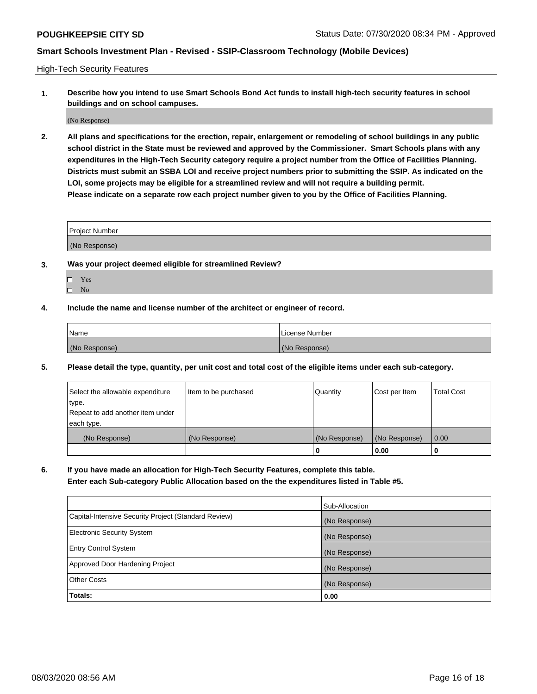High-Tech Security Features

**1. Describe how you intend to use Smart Schools Bond Act funds to install high-tech security features in school buildings and on school campuses.**

(No Response)

**2. All plans and specifications for the erection, repair, enlargement or remodeling of school buildings in any public school district in the State must be reviewed and approved by the Commissioner. Smart Schools plans with any expenditures in the High-Tech Security category require a project number from the Office of Facilities Planning. Districts must submit an SSBA LOI and receive project numbers prior to submitting the SSIP. As indicated on the LOI, some projects may be eligible for a streamlined review and will not require a building permit. Please indicate on a separate row each project number given to you by the Office of Facilities Planning.**

| <b>Project Number</b>                                  |  |
|--------------------------------------------------------|--|
| MN<br>$\sim$ $\sim$ $\sim$ $\sim$ $\sim$ $\sim$ $\sim$ |  |

- **3. Was your project deemed eligible for streamlined Review?**
	- Yes
	- $\hfill \square$  No
- **4. Include the name and license number of the architect or engineer of record.**

| Name          | License Number |
|---------------|----------------|
| (No Response) | (No Response)  |

**5. Please detail the type, quantity, per unit cost and total cost of the eligible items under each sub-category.**

| Select the allowable expenditure | Item to be purchased | Quantity      | Cost per Item | <b>Total Cost</b> |
|----------------------------------|----------------------|---------------|---------------|-------------------|
| ∣type.                           |                      |               |               |                   |
| Repeat to add another item under |                      |               |               |                   |
| each type.                       |                      |               |               |                   |
| (No Response)                    | (No Response)        | (No Response) | (No Response) | 0.00              |
|                                  |                      | 0             | 0.00          |                   |

**6. If you have made an allocation for High-Tech Security Features, complete this table.**

**Enter each Sub-category Public Allocation based on the the expenditures listed in Table #5.**

|                                                      | Sub-Allocation |
|------------------------------------------------------|----------------|
| Capital-Intensive Security Project (Standard Review) | (No Response)  |
| <b>Electronic Security System</b>                    | (No Response)  |
| <b>Entry Control System</b>                          | (No Response)  |
| Approved Door Hardening Project                      | (No Response)  |
| <b>Other Costs</b>                                   | (No Response)  |
| Totals:                                              | 0.00           |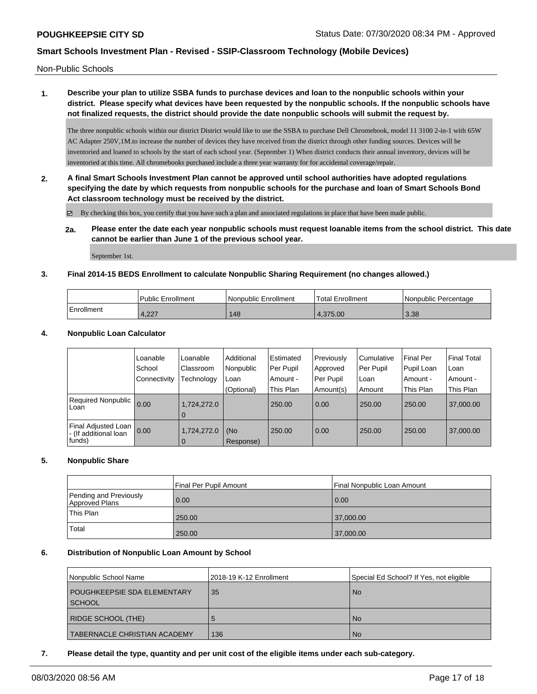Non-Public Schools

# **1. Describe your plan to utilize SSBA funds to purchase devices and loan to the nonpublic schools within your district. Please specify what devices have been requested by the nonpublic schools. If the nonpublic schools have not finalized requests, the district should provide the date nonpublic schools will submit the request by.**

The three nonpublic schools within our district District would like to use the SSBA to purchase Dell Chromebook, model 11 3100 2-in-1 with 65W AC Adapter 250V,1M.to increase the number of devices they have received from the district through other funding sources. Devices will be inventoried and loaned to schools by the start of each school year. (September 1) When district conducts their annual inventory, devices will be inventoried at this time. All chromebooks purchased include a three year warranty for for accidental coverage/repair.

**2. A final Smart Schools Investment Plan cannot be approved until school authorities have adopted regulations specifying the date by which requests from nonpublic schools for the purchase and loan of Smart Schools Bond Act classroom technology must be received by the district.**

By checking this box, you certify that you have such a plan and associated regulations in place that have been made public.

**2a. Please enter the date each year nonpublic schools must request loanable items from the school district. This date cannot be earlier than June 1 of the previous school year.**

September 1st.

# **3. Final 2014-15 BEDS Enrollment to calculate Nonpublic Sharing Requirement (no changes allowed.)**

|            | <b>Public Enrollment</b> | l Nonpublic Enrollment | Total Enrollment | Nonpublic Percentage |
|------------|--------------------------|------------------------|------------------|----------------------|
| Enrollment | 4,227                    | 148                    | 4.375.00         | 3.38                 |

## **4. Nonpublic Loan Calculator**

|                                                           | Loanable<br>School  | Loanable<br>Classroom         | Additional<br>Nonpublic | Estimated<br>Per Pupil | Previously<br>Approved | Cumulative<br>Per Pupil | <b>Final Per</b><br>Pupil Loan | <b>Final Total</b><br>Loan |
|-----------------------------------------------------------|---------------------|-------------------------------|-------------------------|------------------------|------------------------|-------------------------|--------------------------------|----------------------------|
|                                                           | <b>Connectivity</b> | Technology                    | Loan                    | Amount -               | l Per Pupil            | Loan                    | . Amount -                     | Amount -                   |
|                                                           |                     |                               | (Optional)              | This Plan              | Amount(s)              | Amount                  | This Plan                      | This Plan                  |
| Required Nonpublic  <br>Loan                              | 0.00                | 1,724,272.0<br>$\overline{0}$ |                         | 250.00                 | 0.00                   | 250.00                  | 250.00                         | 37,000.00                  |
| Final Adjusted Loan  <br>- (If additional loan<br> funds) | 0.00                | 1,724,272.0<br>$\mathbf 0$    | (No<br>Response)        | 250.00                 | 0.00                   | 250.00                  | 250.00                         | 37,000.00                  |

## **5. Nonpublic Share**

|                                          | Final Per Pupil Amount | l Final Nonpublic Loan Amount |
|------------------------------------------|------------------------|-------------------------------|
| Pending and Previously<br>Approved Plans | 0.00                   | 0.00                          |
| This Plan                                | 250.00                 | 37,000.00                     |
| Total                                    | 250.00                 | 37,000.00                     |

## **6. Distribution of Nonpublic Loan Amount by School**

| Nonpublic School Name                          | 2018-19 K-12 Enrollment | Special Ed School? If Yes, not eligible |
|------------------------------------------------|-------------------------|-----------------------------------------|
| <b>POUGHKEEPSIE SDA ELEMENTARY</b><br>  SCHOOL | 35                      | <b>No</b>                               |
| <b>RIDGE SCHOOL (THE)</b>                      |                         | <b>No</b>                               |
| <b>TABERNACLE CHRISTIAN ACADEMY</b>            | 136                     | <b>No</b>                               |

#### **7. Please detail the type, quantity and per unit cost of the eligible items under each sub-category.**